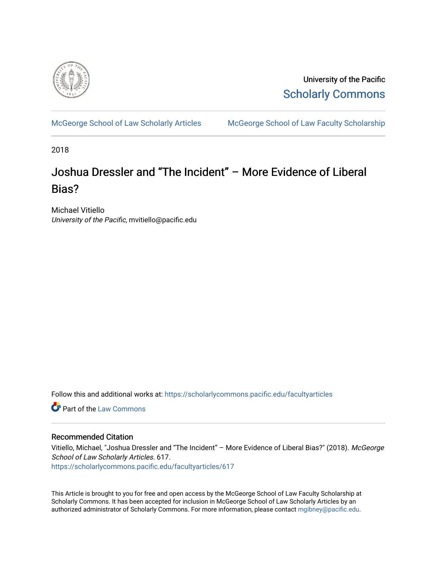

University of the Pacific [Scholarly Commons](https://scholarlycommons.pacific.edu/) 

[McGeorge School of Law Scholarly Articles](https://scholarlycommons.pacific.edu/facultyarticles) [McGeorge School of Law Faculty Scholarship](https://scholarlycommons.pacific.edu/facultyscholarship) 

2018

## Joshua Dressler and "The Incident" – More Evidence of Liberal Bias?

Michael Vitiello University of the Pacific, mvitiello@pacific.edu

Follow this and additional works at: [https://scholarlycommons.pacific.edu/facultyarticles](https://scholarlycommons.pacific.edu/facultyarticles?utm_source=scholarlycommons.pacific.edu%2Ffacultyarticles%2F617&utm_medium=PDF&utm_campaign=PDFCoverPages)

**C** Part of the [Law Commons](https://network.bepress.com/hgg/discipline/578?utm_source=scholarlycommons.pacific.edu%2Ffacultyarticles%2F617&utm_medium=PDF&utm_campaign=PDFCoverPages)

## Recommended Citation

Vitiello, Michael, "Joshua Dressler and "The Incident" - More Evidence of Liberal Bias?" (2018). McGeorge School of Law Scholarly Articles. 617.

[https://scholarlycommons.pacific.edu/facultyarticles/617](https://scholarlycommons.pacific.edu/facultyarticles/617?utm_source=scholarlycommons.pacific.edu%2Ffacultyarticles%2F617&utm_medium=PDF&utm_campaign=PDFCoverPages)

This Article is brought to you for free and open access by the McGeorge School of Law Faculty Scholarship at Scholarly Commons. It has been accepted for inclusion in McGeorge School of Law Scholarly Articles by an authorized administrator of Scholarly Commons. For more information, please contact [mgibney@pacific.edu.](mailto:mgibney@pacific.edu)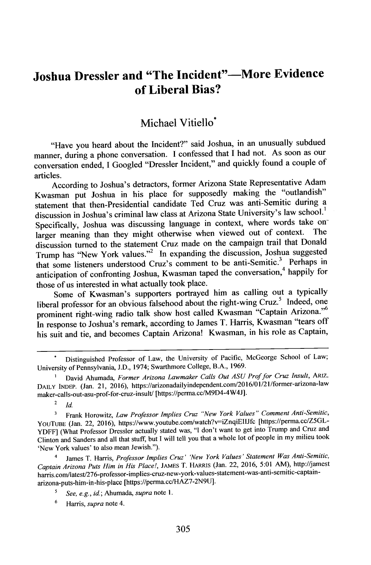## **Joshua Dressier and "The Incident"-More Evidence of Liberal Bias?**

## Michael Vitiello\*

"Have you beard about the Incident?" said Joshua, in an unusually subdued manner, during a phone conversation. **I** confessed that **I** had not. As soon as our conversation ended, **I** Googled "Dressler Incident," and quickly found a couple of articles.

According to Joshua's detractors, former Arizona State Representative Adam Kwasman put Joshua in his place for supposedly making the "outlandish" statement that then-Presidential candidate Ted Cruz was anti-Semitic during a discussion in Joshua's criminal law class at Arizona State University's law school.<sup>1</sup> Specifically, Joshua was discussing language in context, where words take onlarger meaning than they might otherwise when viewed out of context. discussion turned to the statement Cruz made on the campaign trail that Donald Trump has "New York values."<sup>2</sup> In expanding the discussion, Joshua suggested that some listeners understood Cruz's comment to be anti-Semitic.<sup>3</sup> Perhaps in anticipation of confronting Joshua, Kwasman taped the conversation,<sup>4</sup> happily for those of us interested in what actually took place.

Some of Kwasman's supporters portrayed him as calling out a typically liberal professor for an obvious falsehood about the right-wing  $\check{C}$ ruz.<sup>5</sup> Indeed, one prominent right-wing radio talk show host called Kwasman "Captain Arizona."<sup>6</sup> In response to Joshua's remark, according to James T. Harris, Kwasman "tears off his suit and tie, and becomes Captain Arizona! Kwasman, in his role as Captain,

<sup>2</sup> $Id$ 

Frank Horowitz, *Law Professor Implies Cruz "New York Values" Comment Anti-Semitic,*  $\overline{\mathbf{3}}$ YOUTUBE (Jan. 22, 2016), https://www.youtube.com/watch?v=iZnqiElIJfc [https://perma.cc/Z5GL-YDFF] (What Professor Dressler actually stated was, "I don't want to get into Trump and Cruz and Clinton and Sanders and all that stuff, but **I** will tell you that a whole lot of people in my milieu took 'New York values' to also mean Jewish.").

4 James T. Harris, *Professor Implies Cruz' 'New York Values' Statement Was Anti-Semitic, Captain Arizona Puts Him in His Place!,* **JAMES** T. HARRis (Jan. 22, **2016, 5:01** AM), http://jamest harris.com/latest/276-professor-implies-cruz-new-york-values-statement-was-anti-semitic-captainarizona-puts-him-in-his-place [https://perma.ccHAZ7-2N9U].

**6** Harris, *supra* note 4.

Distinguished Professor of Law, the University of Pacific, McGeorge School of Law; University of Pennsylvania, **J.D.,** 1974; Swarthmore College, B.A., **1969.**

**<sup>1</sup>** David Ahumada, *Former Arizona Lawmaker Calls Out ASU Prof for Cruz Insult, ARLZ.* DAILY INDEP. (Jan. 21, 2016), https://arizonadailyindependent.com/2016/01/21/former-arizona-law maker-calls-out-asu-prof-for-cruz-insult/ [https://perma.cc/M9D4-4W4J].

*See, e.g., id.;* Ahumada, *supra* note **1.**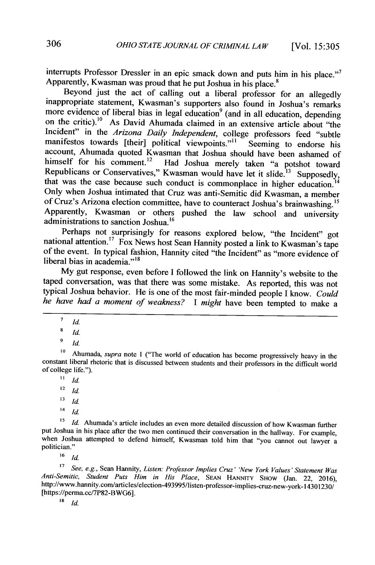interrupts Professor Dressler in an epic smack down and puts him in his place."<sup>7</sup> Apparently, Kwasman was proud that he put Joshua in his place.<sup>8</sup>

Beyond just the act of calling out a liberal professor for an allegedly inappropriate statement, Kwasman's supporters also found in Joshua's remarks more evidence of liberal bias in legal education<sup>9</sup> (and in all education, depending on the critic).<sup>10</sup> As David Ahumada claimed in an extensive article about "the Incident" in the *Arizona Daily Independent*, college professors feed "subtle manifestos towards [their] political viewpoints."<sup>11</sup> Seeming to endorse his manifestos towards [their] political viewpoints."<sup>11</sup> account, Ahumada quoted Kwasman that Joshua should have been ashamed of himself for his comment.<sup>12</sup> Had Joshua merely taken "a potshot toward Republicans or Conservatives," Kwasman would have let it slide.<sup>13</sup> Supposedly, that was the case because such conduct is commonplace in higher education.<sup>14</sup> Only when Joshua intimated that Cruz was anti-Semitic did Kwasman, a member of Cruz's Arizona election committee, have to counteract Joshua's brainwashing.<sup>15</sup> Apparently, Kwasman or others pushed the law school and university administrations to sanction Joshua.<sup>16</sup><br>Perhaps not surprisingly for reasons explored below, "the Incident" got

national attention.<sup>17</sup> Fox News host Sean Hannity posted a link to Kwasman's tape of the event. In typical fashion, Hannity cited "the Incident" as "more evidence of liberal bias in academia."<sup> $18$ </sup>

**My** gut response, even before **I** followed the link on Hannity's website to the taped conversation, was that there was some mistake. As reported, this was not typical Joshua behavior. He is one of the most fair-minded people **I** know. *Could he have had a moment of weakness? I might* have been tempted to make a

- <sup>12</sup>*Id.*
- $13$ *id.*
- $14$  *Id.*

<sup>15</sup> *Id.* Ahumada's article includes an even more detailed discussion of how Kwasman further put Joshua in his place after the two men continued their conversation in the hallway. For example, when Joshua attempted to defend himself, Kwasman told him that "you cannot out lawyer a politician."

 $16$ *id* 

**<sup>17</sup>***See, e.g.,* Sean Hannity, *Listen: Professor Implies Cruz' 'New York Values' Statement Was Anti-Semitic, Student Puts Him in His Place,* **SEAN HANNITY SHOW** (Jan. 22, **2016),** http://www.hannity.com/articles/election-493995/listen-professor-implies-cruz-new-york- 4301230/ [https://perma.cc/7P82-BWG6].

*18 id*

 $\overline{7}$ *Id.*

**<sup>8</sup>***Id*

 $\frac{9}{10}$ *Id.* 

**<sup>0</sup>** Ahumada, *supra note* **I** ("The world of education has become progressively heavy in the constant liberal rhetoric that is discussed between students and their professors in the difficult world **of college** life.").

 $11$  *Id.*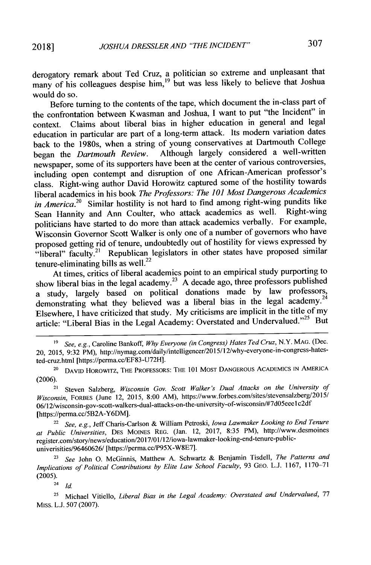derogatory remark about Ted Cruz, a politician so extreme and unpleasant that many of his colleagues despise him,<sup>19</sup> but was less likely to believe that Joshua would do so.

Before turning to the contents of the tape, which document the in-class part of the confrontation between Kwasman and Joshua, **I** want to put "the Incident" in context. Claims about liberal bias in higher education in general and legal education in particular are part of a long-term attack. Its modern variation dates back to the 1980s, when a string of young conservatives at Dartmouth College<br>began the *Dartmouth Review*. Although largely considered a well-written Although largely considered a well-written newspaper, some of its supporters have been at the center of various controversies, including open contempt and disruption of one African-American professor's class. Right-wing author David Horowitz captured some of the hostility towards liberal academics in his book *The Professors: The 101 Most Dangerous Academics in America.*<sup>20</sup> Similar hostility is not hard to find among right-wing pundits like<br>Seen Hannity and Ann Coulter, who attack academics as well. Right-wing Sean Hannity and Ann Coulter, who attack academics as well. politicians have started to do more than attack academics verbally. For example, Wisconsin Governor Scott Walker is only one of a number of governors who have proposed getting rid of tenure, undoubtedly out of hostility for views expressed **by** "liberal" faculty.<sup>21</sup> Republican legislators in other states have proposed similar tenure-eliminating bills as well. $^{22}$ 

At times, critics of liberal academics point to an empirical study purporting to show liberal bias in the legal academy.<sup>23</sup> A decade ago, three professors published a study, largely based on political donations made **by** law professors, demonstrating what they believed was a liberal bias in the legal academy.<sup>24</sup> Elsewhere, **I** have criticized that study. **My** criticisms are implicit **in** the title of my article: "Liberal Bias in the Legal Academy: Overstated and Undervalued."<sup>25</sup> But

- **'9** *See, e.g.,* Caroline Bankoff, *Why Everyone (in Congress) Hates Ted Cruz,* N.Y. **MAG.** (Dec. 20, 2015, 9:32 PM), http://nymag.com/daily/intelligencer/2015/12/why-everyone-in-congress-hates ted-cruz.html [https://perma.cc/EF83-U72H].
- <sup>20</sup>**DAVID HOROWITZ, THE PROFESSORS: THE 101** MOST DANGEROUS ACADEMICS **IN** AMERICA **(2006).**

<sup>21</sup> Steven Salzberg, *Wisconsin Gov. Scott Walker's Dual Attacks on the University of Wisconsin,* FORBES (June 12, **2015, 8:00** AM), https://www.forbes.com/sites/stevensalzberg/2015/ 06/12/wisconsin-gov-scott-walkers-dual-attacks-on-the-university-of-wisconsin/#7d05eeelc2df [https://perma.cc/5B2A-Y6DM].

<sup>22</sup>*See, e.g.,* Jeff Charis-Carlson **&** William Petroski, *Iowa Lawmaker Looking to End Tenure at Public Universities,* **DES** MOINES REG. (Jan. 12, **2017, 8:35** PM), http://www.desmoines register.com/story/news/education/2017/01/12/iowa-lawmaker-looking-end-tenure-public univerisities/964606<sup>2</sup> <sup>6</sup> / [https://perma.cc/P95X-W8E7].

**<sup>23</sup>***See* John **0.** McGinnis, Matthew **A.** Schwartz **&** Benjamin Tisdell, *The Patterns and Implications of Political Contributions by Elite Law School Faculty,* **93 GEO. L.J. 1167, 1170-71 (2005).**

 $^{24}$  *Id.* 

**<sup>25</sup>**Michael Vitiello, *Liberal Bias in the Legal Academy: Overstated and Undervalued, 77* Miss. **L.J. 507 (2007).**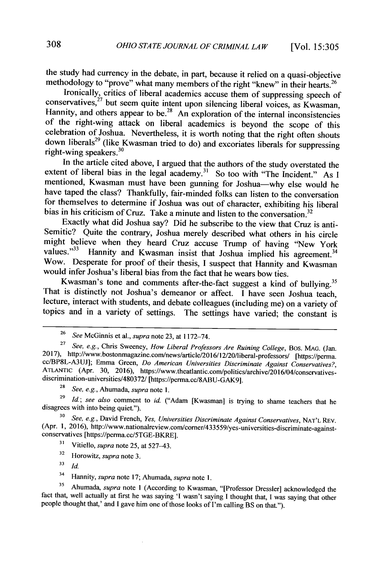the study had currency in the debate, in part, because it relied on a quasi-objective methodology to "prove" what many members of the right "knew" in their hearts.<sup>26</sup>

Ironically, critics of liberal academics accuse them of suppressing speech of conservatives,<sup>27</sup> but seem quite intent upon silencing liberal voices, as Kwasman, Hannity, and others appear to be.<sup>28</sup> An exploration of the internal inconsistencies of the right-wing attack on liberal academics is beyond the scope of this celebration of Joshua. Nevertheless, it is worth noting that the right often shouts down liberals<sup>29</sup> (like Kwasman tried to do) and excoriates liberals for suppressing right-wing speakers. $30$ 

In the article cited above, **I** argued that the authors of the study overstated the extent of liberal bias in the legal academy.<sup>31</sup> So too with "The Incident." As I mentioned, Kwasman must have been gunning for Joshua-why else would he have taped the class? Thankfully, fair-minded folks can listen to the conversation for themselves to determine if Joshua was out of character, exhibiting his liberal bias in his criticism of Cruz. Take a minute and listen to the conversation.<sup>32</sup>

Exactly what did Joshua say? Did he subscribe to the view that Cruz is anti-Semitic? Quite the contrary, Joshua merely described what others in his circle might believe when they heard Cruz accuse Trump of having "New York values."<sup>33</sup> Hannity and Kwasman insist that Joshua implied his agreement.<sup>34</sup> Hannity and Kwasman insist that Joshua implied his agreement.<sup>34</sup> Wow. Desperate for proof of their thesis, **I** suspect that Hannity and Kwasman would infer Joshua's liberal bias from the fact that he wears bow ties.

Kwasman's tone and comments after-the-fact suggest a kind of bullying.<sup>35</sup><br>That is distinctly not Joshua's demeanor or affect. I have seen Joshua teach, lecture, interact with students, and debate colleagues (including me) on a variety of topics and in a variety of settings. The settings have varied; the constant is

**<sup>29</sup>Id.;** see also comment to *id.* ("Adam [Kwasman] is trying to shame teachers that he disagrees with into being quiet.").

**<sup>30</sup>**See, e.g., David French, Yes, Universities Discriminate Against Conservatives, **NAT'L** REV. (Apr. **1, 2016),** http://www.nationalreview.com/comer/433559/yes-universities-discriminate-againstconservatives [https://permacc/5TGE-BKRE].

<sup>31</sup> Vitiello, *supra* note 25, at 527–43.

<sup>32</sup> Horowitz, *supra* note 3.<br> $\frac{33}{H}$ 

**<sup>33</sup>id.**

<sup>34</sup>Hannity, supra note **17;** Ahumada, supra note **1.**

**<sup>35</sup>**Ahumada, supra note 1 (According to Kwasman, "[Professor Dressier] acknowledged the fact that, well actually at first he was saying **'I** wasn't saying **I** thought that, **I** was saying that other people thought that,' and **I** gave him one of those looks of I'm calling BS on that.").

**<sup>26</sup>***See* McGinnis et al., *supra* note **23,** at **1172-74.**

**<sup>27</sup>***See, e.g.,* Chris Sweeney, *How Liberal Professors Are Ruining College,* Bos. **MAG.** (Jan. **2017),** http://www.bostonmagazine.com/news/article/2016/12/20/liberal-professors/ [https://perma. cc/BP8L-A3UJ]; Emma Green, *Do American Universities Discriminate Against Conservatives?,* **ATLANTIC** (Apr. **30,** 2016), https://www.theatlantic.com/politics/archive/2016/04/conservativesdiscrimination-universities/480372/ [https://perma.cc/8ABU-GAK9].

**<sup>28</sup>**See, e.g., Ahumada, supra *note* **1.**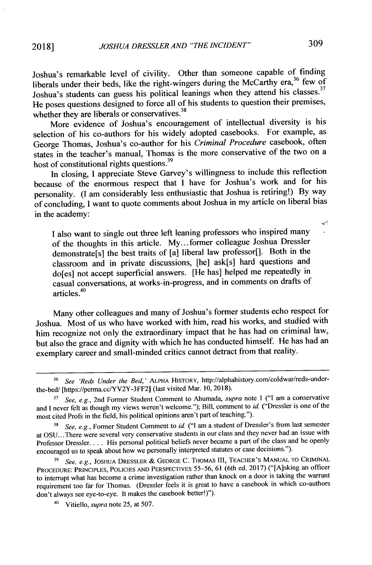Joshua's remarkable level of civility. Other than someone capable of finding liberals under their beds, like the right-wingers during the McCarthy era,<sup>36</sup> few of Joshua's students can guess his political leanings when they attend his classes.<sup>37</sup> He poses questions designed to force all of his students to question their premises, whether they are liberals or conservatives.<sup>38</sup>

More evidence of Joshua's encouragement of intellectual diversity is his selection of his co-authors for his widely adopted casebooks. For example, as George Thomas, Joshua's co-author for his *Criminal Procedure* casebook, often states in the teacher's manual, Thomas is the more conservative of the two on a host of constitutional rights questions.<sup>39</sup>

In closing, **I** appreciate Steve Garvey's willingness to include this reflection because of the enormous respect that **I** have for Joshua's work and for his personality. (I am considerably less enthusiastic that Joshua is retiring!) **By** way of concluding, **I** want to quote comments about Joshua in my article on liberal bias in the academy:

**<sup>I</sup>**also want to single out three left leaning professors who inspired many of the thoughts in this article. **My...** former colleague Joshua Dressler demonstrate[s] the best traits of [a] liberal law professor[]. Both in the classroom and in private discussions, [he] ask[s] hard questions and do[es] not accept superficial answers. [He has] helped me repeatedly in casual conversations, at works-in-progress, and in comments on drafts of articles.<sup>40</sup>

Many other colleagues and many of Joshua's former students echo respect for Joshua. Most of us who have worked with him, read his works, and studied with him recognize not only the extraordinary impact that he has had on criminal law, but also the grace and dignity with which he has conducted himself. He has had an exemplary career and small-minded critics cannot detract from that reality.

 $\mathbf{e}^{\mathbf{r}^{\mathrm{T}}}$ 

**<sup>36</sup>** *See 'Reds Under the Bed,'* ALPHA HISTORY, http://alphahistory.com/coldwar/reds-underthe-bed/ [https://perma.cc/YV2Y-3FF2] (last visited Mar. **10, 2018).**

**<sup>37</sup>**See, e.g., 2nd Former Student Comment to Ahumada, *supra* note **I ("I** am a conservative and **I** never felt as though my views weren't welcome."); Bill, comment to *id.* ("Dressler is one of the most cited Profs in the field, his political opinions aren't part of teaching.").

**<sup>38</sup>***See, e.g.,* Former Student Comment to *id* **("I** am a student of Dressler's from last semester at **OSU ...** There were several very conservative students in our class and they never had an issue with Professor Dressler... **.** His personal political beliefs never became a part of the class and he openly encouraged us to speak about how we personally interpreted statutes or case decisions.").

**<sup>39</sup>***See, e.g.,* **JOSHUA** DRESSLER *&* **GEORGE C. THOMAS** III, TEACHER'S **MANUAL** TO CRIMINAL PROCEDURE: PRINCIPLES, **POLICIES AND** PERSPECTIVES **55-56, 61** (6th ed. **2017)** ("[A]sking an officer to interrupt what has become a crime investigation rather than knock on a door is taking the warrant requirement too far for Thomas. (Dressler feels it is great to have a casebook in which co-authors don't always see eye-to-eye. It makes the casebook better!)").

<sup>40</sup> Vitiello, *supra* note **25,** at *507.*